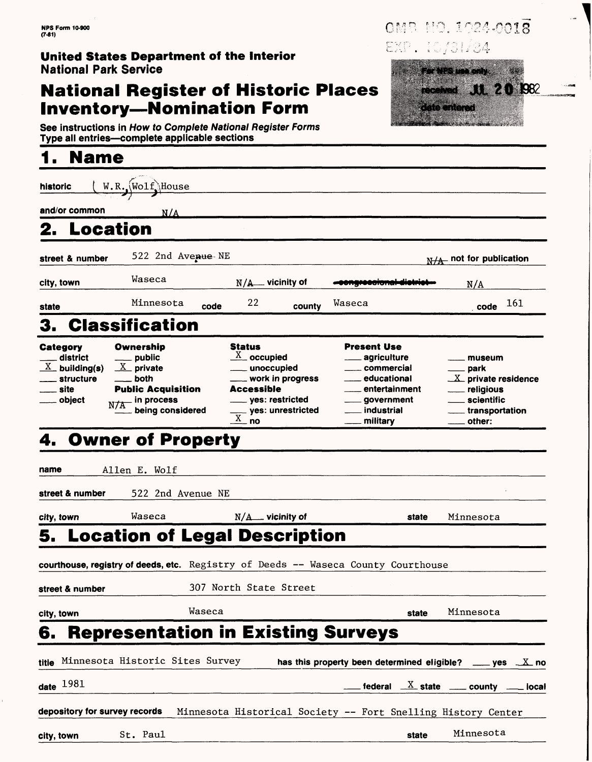#### **United States Department of the Interior** National Park Service

## **National Register of Historic Places Inventory — Nomination Form**

See instructions in How to Complete National Register Forms Type all entries—complete applicable sections

# **1. Name**

| historic                                                                           | $W.R., (Wolf)$ House                                                                                                        |                                                                            |                                                                                             |                                                                                                                              |                       |                                                                                                                           |
|------------------------------------------------------------------------------------|-----------------------------------------------------------------------------------------------------------------------------|----------------------------------------------------------------------------|---------------------------------------------------------------------------------------------|------------------------------------------------------------------------------------------------------------------------------|-----------------------|---------------------------------------------------------------------------------------------------------------------------|
| and/or common                                                                      | N/A                                                                                                                         |                                                                            |                                                                                             |                                                                                                                              |                       |                                                                                                                           |
| Location                                                                           |                                                                                                                             |                                                                            |                                                                                             |                                                                                                                              |                       |                                                                                                                           |
| street & number                                                                    | 522 2nd Avenue NE                                                                                                           |                                                                            |                                                                                             |                                                                                                                              |                       | $N/A$ not for publication                                                                                                 |
| city, town                                                                         | Waseca                                                                                                                      | $N/A$ vicinity of                                                          |                                                                                             | .                                                                                                                            |                       | N/A                                                                                                                       |
| state                                                                              | Minnesota                                                                                                                   | 22<br>code                                                                 | county                                                                                      | Waseca                                                                                                                       |                       | 161<br>code                                                                                                               |
| 3.                                                                                 | <b>Classification</b>                                                                                                       |                                                                            |                                                                                             |                                                                                                                              |                       |                                                                                                                           |
| Category<br>district<br>$\underline{X}$ building(s)<br>structure<br>site<br>object | Ownership<br><sub>-</sub> public<br>$X$ private<br>both<br><b>Public Acquisition</b><br>$\_$ in process<br>being considered | Status<br>$\frac{\text{X}}{\text{A}}$ occupied<br>Accessible<br>$X_{-}$ no | unoccupied<br>$\_$ work in progress<br><sub>—</sub> yes: restricted<br>__ yes: unrestricted | <b>Present Use</b><br>agriculture<br>commercial<br>educational<br>entertainment<br>$\_$ government<br>industrial<br>military |                       | museum<br><sub>-</sub> park<br>$X$ private residence<br>___ religious<br>____ scientific<br>____ transportation<br>other: |
| 4. Owner of Property                                                               |                                                                                                                             |                                                                            |                                                                                             |                                                                                                                              |                       |                                                                                                                           |
|                                                                                    |                                                                                                                             |                                                                            |                                                                                             |                                                                                                                              |                       |                                                                                                                           |
| name                                                                               | Allen E. Wolf                                                                                                               |                                                                            |                                                                                             |                                                                                                                              |                       |                                                                                                                           |
| street & number                                                                    | 522 2nd Avenue NE                                                                                                           |                                                                            |                                                                                             |                                                                                                                              |                       |                                                                                                                           |
| city, town                                                                         | Waseca                                                                                                                      | $N/A$ vicinity of                                                          |                                                                                             |                                                                                                                              | state                 | Minnesota                                                                                                                 |
| 5.                                                                                 |                                                                                                                             | <b>Location of Legal Description</b>                                       |                                                                                             |                                                                                                                              |                       |                                                                                                                           |
|                                                                                    |                                                                                                                             |                                                                            |                                                                                             | courthouse, registry of deeds, etc. Registry of Deeds -- Waseca County Courthouse                                            |                       |                                                                                                                           |
| street & number                                                                    |                                                                                                                             | 307 North State Street                                                     |                                                                                             |                                                                                                                              |                       |                                                                                                                           |
| city, town                                                                         |                                                                                                                             | Waseca                                                                     |                                                                                             |                                                                                                                              | state                 | Minnesota                                                                                                                 |
| 6.                                                                                 |                                                                                                                             | <b>Representation in Existing Surveys</b>                                  |                                                                                             |                                                                                                                              |                       |                                                                                                                           |
| titie Minnesota Historic Sites Survey                                              |                                                                                                                             |                                                                            |                                                                                             | has this property been determined eligible?                                                                                  |                       | $ves \t \Lambda no$                                                                                                       |
| date $1981$                                                                        |                                                                                                                             |                                                                            |                                                                                             | federal                                                                                                                      | $\underline{X}$ state | county<br>iocal                                                                                                           |
| depository for survey records                                                      |                                                                                                                             |                                                                            |                                                                                             | Minnesota Historical Society -- Fort Snelling History Center                                                                 |                       |                                                                                                                           |
| city, town                                                                         | St. Paul                                                                                                                    |                                                                            |                                                                                             |                                                                                                                              | state                 | Minnesota                                                                                                                 |

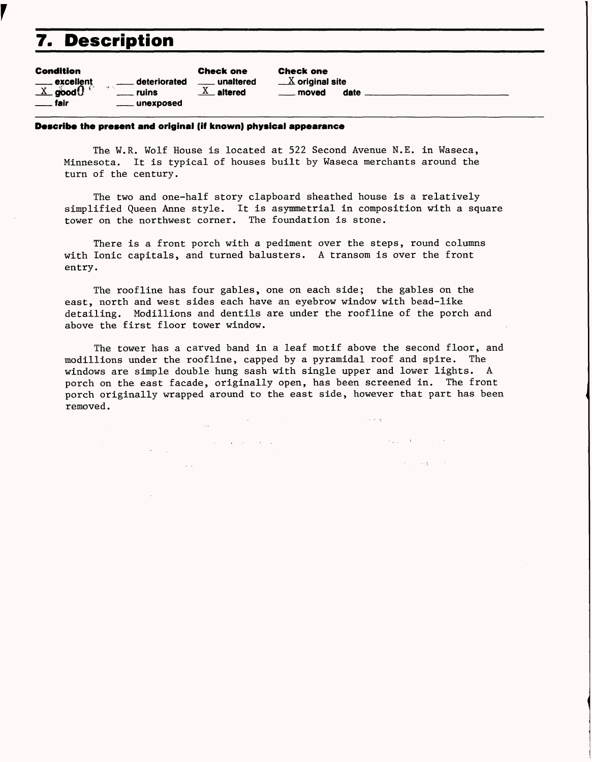## **7. Description**

r

| <b>Condition</b>                          |                    | <b>Check one</b> |
|-------------------------------------------|--------------------|------------------|
| $\frac{1}{\sqrt{1-x}}$ good $\frac{1}{x}$ | deteriorated<br>43 | unaltered        |
|                                           | . ruins            | $X$ altered      |
| fair<br>$\sim$                            | ____ unexposed     |                  |

Check one  $\underline{X}$  original site moved date \_\_

#### **Describe the present and original (if known) physical appearance**

 $\label{eq:2.1} \begin{split} \frac{1}{\sqrt{2}}\left(\frac{1}{\sqrt{2}}\right)^{2} &\frac{1}{\sqrt{2}}\left(\frac{1}{\sqrt{2}}\right)^{2} &\frac{1}{\sqrt{2}}\left(\frac{1}{\sqrt{2}}\right)^{2} &\frac{1}{\sqrt{2}}\left(\frac{1}{\sqrt{2}}\right)^{2} &\frac{1}{\sqrt{2}}\left(\frac{1}{\sqrt{2}}\right)^{2} &\frac{1}{\sqrt{2}}\left(\frac{1}{\sqrt{2}}\right)^{2} &\frac{1}{\sqrt{2}}\left(\frac{1}{\sqrt{2}}\right)^{2} &\frac{$ 

The W.R. Wolf House is located at 522 Second Avenue N.E. in Waseca, Minnesota. It is typical of houses built by Waseca merchants around the turn of the century.

The two and one-half story clapboard sheathed house is a relatively simplified Queen Anne style. It is asymmetrial in composition with a square tower on the northwest corner. The foundation is stone.

There is a front porch with a pediment over the steps, round columns with Ionic capitals, and turned balusters. A transom is over the front entry.

The roofline has four gables, one on each side; the gables on the east, north and west sides each have an eyebrow window with bead-like detailing. Modillions and dentils are under the roofline of the porch and above the first floor tower window.

The tower has a carved band in a leaf motif above the second floor, and modillions under the roofline, capped by a pyramidal roof and spire. The windows are simple double hung sash with single upper and lower lights. A porch on the east facade, originally open, has been screened in. The front porch originally wrapped around to the east side, however that part has been removed.

ومنعا المنادين

**Contact Contact Contact A** 

San Garage Stor

 $\mathcal{L}^{\text{max}}_{\text{max}}$  and  $\mathcal{L}^{\text{max}}_{\text{max}}$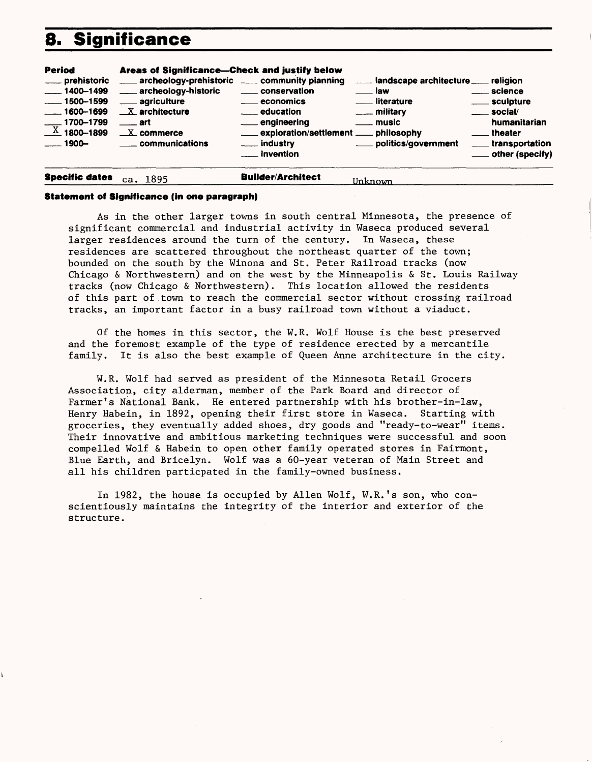## **8. Significance**

| <b>Period</b>                                                                                                                        | Areas of Significance-Check and justify below                                                                                                                                   |                                                                                                                                                              |                                                                                                                                              |                                                                                                                                             |
|--------------------------------------------------------------------------------------------------------------------------------------|---------------------------------------------------------------------------------------------------------------------------------------------------------------------------------|--------------------------------------------------------------------------------------------------------------------------------------------------------------|----------------------------------------------------------------------------------------------------------------------------------------------|---------------------------------------------------------------------------------------------------------------------------------------------|
| ___ prehistoric<br>$-1400 - 1499$<br>$\frac{1}{2}$ 1500-1599<br>$\frac{1600-1699}{1600-1699}$<br>$\frac{X}{X}$ 1700-1799<br>$-1900-$ | archeology-prehistoric _____ community planning<br>___ archeology-historic<br>___ agriculture<br>$X$ architecture<br>$\equiv$ art<br>$X$ commerce<br><u>__</u> _ communications | _____ conservation<br>_____ economics<br><u>__</u> __ education<br>___ engineering<br>exploration/settlement ___ philosophy<br>___ industry<br>___ invention | Landscape architecture ____ religion<br><u>__</u> law<br>___ literature<br>$\equiv$ military<br><u>__</u> _ music<br>___ politics/government | <u>__</u> __ science<br>_____ sculpture<br>$\frac{1}{2}$ social/<br>humanitarian<br>theater<br>_____ transportation<br>____ other (specify) |
|                                                                                                                                      |                                                                                                                                                                                 |                                                                                                                                                              |                                                                                                                                              |                                                                                                                                             |

#### **Statement of Significance (in one paragraph)**

**Specific dates ca . 1395 Builder/Architect** Unknown

As in the other larger towns in south central Minnesota, the presence of significant commercial and industrial activity in Waseca produced several larger residences around the turn of the century. In Waseca, these residences are scattered throughout the northeast quarter of the town; bounded on the south by the Winona and St. Peter Railroad tracks (now Chicago & Northwestern) and on the west by the Minneapolis & St. Louis Railway tracks (now Chicago & Northwestern). This location allowed the residents of this part of town to reach the commercial sector without crossing railroad tracks, an important factor in a busy railroad town without a viaduct.

Of the homes in this sector, the W.R. Wolf House is the best preserved and the foremost example of the type of residence erected by a mercantile family. It is also the best example of Queen Anne architecture in the city.

W.R. Wolf had served as president of the Minnesota Retail Grocers Association, city alderman, member of the Park Board and director of Farmer's National Bank. He entered partnership with his brother-in-law, Henry Habein, in 1892, opening their first store in Waseca. Starting with groceries, they eventually added shoes, dry goods and "ready-to-wear" items. Their innovative and ambitious marketing techniques were successful and soon compelled Wolf & Habein to open other family operated stores in Fairmont, Blue Earth, and Bricelyn. Wolf was a 60-year veteran of Main Street and all his children particpated in the family-owned business.

In 1982, the house is occupied by Allen Wolf, W.R.'s son, who conscientiously maintains the integrity of the interior and exterior of the structure.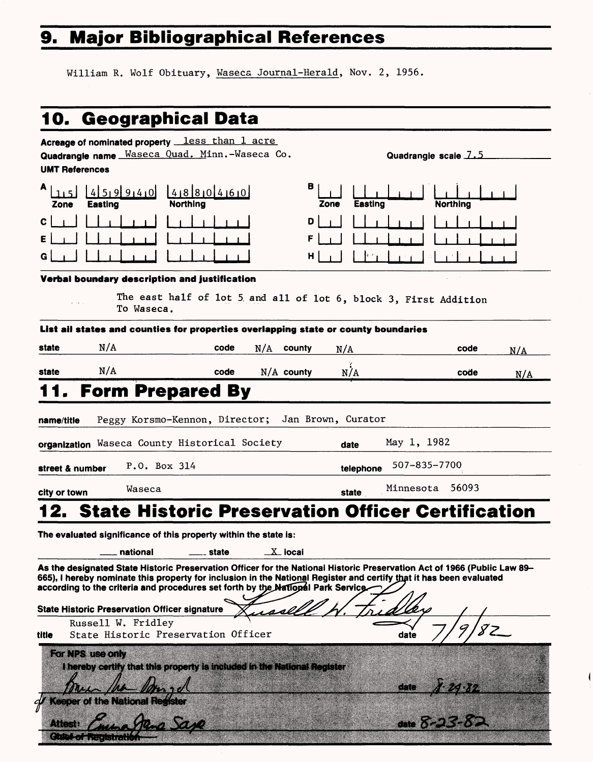# 9. Major Bibliographical References

William R. Wolf Obituary, Waseca Journal-Herald, Nov. 2, 1956,

|                                                            | 10. Geographical Data                                                                                                                                                                                                                                                                                                                    |                   |                                         |                                  |                 |     |
|------------------------------------------------------------|------------------------------------------------------------------------------------------------------------------------------------------------------------------------------------------------------------------------------------------------------------------------------------------------------------------------------------------|-------------------|-----------------------------------------|----------------------------------|-----------------|-----|
| <b>UMT References</b>                                      | Acreage of nominated property <b>less</b> than 1 acre<br>Quadrangle name Waseca Quad. Minn.-Waseca Co.                                                                                                                                                                                                                                   |                   |                                         | Quadrangie scale 7.5             |                 |     |
| А<br><b>Easting</b><br>Zone                                | $45,9940$ $488040$<br><b>Northing</b>                                                                                                                                                                                                                                                                                                    |                   | в<br><b>Easting</b><br>Zone             |                                  | <b>Northing</b> |     |
| C.                                                         |                                                                                                                                                                                                                                                                                                                                          |                   | D<br>н                                  |                                  |                 |     |
|                                                            | Verbal boundary description and justification<br>The east half of lot 5 and all of lot 6, block 3, First Addition<br>To Waseca.                                                                                                                                                                                                          |                   |                                         |                                  |                 |     |
|                                                            | List ail states and counties for properties overlapping state or county boundaries                                                                                                                                                                                                                                                       |                   |                                         |                                  |                 |     |
| N/A<br>state                                               | code                                                                                                                                                                                                                                                                                                                                     | N/A<br>county     | N/A                                     |                                  | code            | N/A |
| N/A<br>state                                               | code                                                                                                                                                                                                                                                                                                                                     | $N/A$ county      | N/A                                     |                                  | code            | N/A |
| name/title<br>street & number                              | Peggy Korsmo-Kennon, Director;<br>organization Waseca County Historical Society<br>P.O. Box 314                                                                                                                                                                                                                                          |                   | Jan Brown, Curator<br>date<br>telephone | May 1, 1982<br>507-835-7700      |                 |     |
| city or town                                               | Waseca                                                                                                                                                                                                                                                                                                                                   |                   | <b>state</b>                            | Minnesota                        | 56093           |     |
|                                                            | 2. State Historic Preservation Officer Certification                                                                                                                                                                                                                                                                                     |                   |                                         |                                  |                 |     |
|                                                            | The evaluated significance of this property within the state is:<br>national<br>state<br>As the designated State Historic Preservation Officer for the National Historic Preservation Act of 1966 (Public Law 89–<br>665), I hereby nominate this property for inclusion in the National Register and certify that it has been evaluated | $\_$ X $\_$ iocai |                                         |                                  |                 |     |
|                                                            | according to the criteria and procedures set forth by the National Park Service                                                                                                                                                                                                                                                          |                   |                                         |                                  |                 |     |
| Russell W. Fridley                                         | <b>State Historic Preservation Officer signature</b>                                                                                                                                                                                                                                                                                     |                   |                                         |                                  |                 |     |
| title                                                      | State Historic Preservation Officer                                                                                                                                                                                                                                                                                                      |                   |                                         | date                             |                 |     |
| For NPS use only<br><b>Keeper of the National Register</b> | I hereby certify that this property is included in the National Register                                                                                                                                                                                                                                                                 |                   |                                         | date $A.24.32$<br>date $8-23-82$ |                 |     |
| Alteri                                                     |                                                                                                                                                                                                                                                                                                                                          |                   |                                         |                                  |                 |     |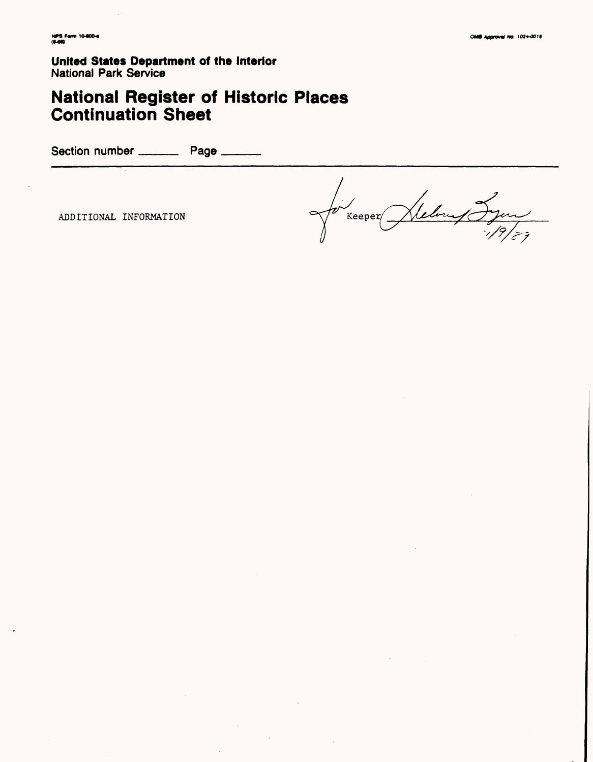**United States Department of the Interior National Park Service** 

# **National Register of Historic Places<br>Continuation Sheet**

Section number \_\_\_\_\_\_\_\_\_\_\_ Page \_\_

ADDITIONAL INFORMATION

Jelon Jyn  $Keeper \$